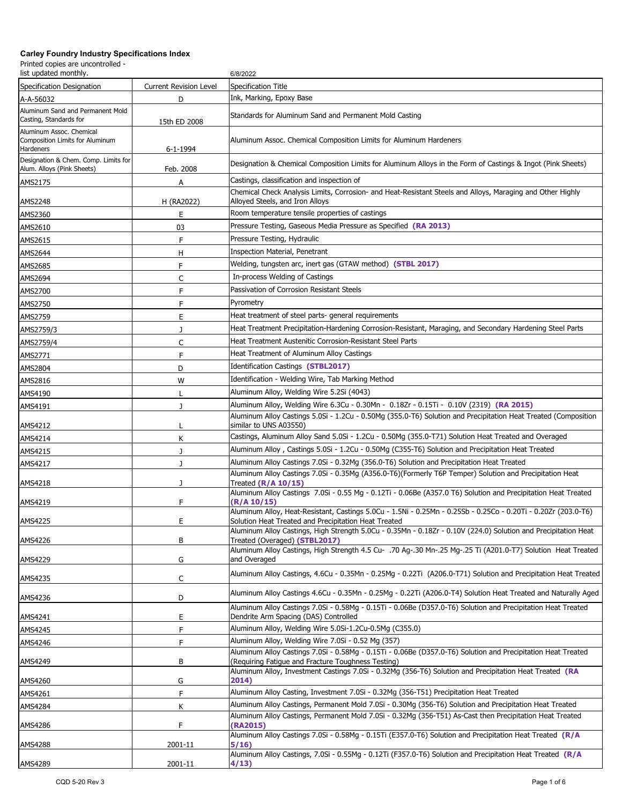| list updated monthly.                                                    |                               | 6/8/2022                                                                                                                                                                                                                      |
|--------------------------------------------------------------------------|-------------------------------|-------------------------------------------------------------------------------------------------------------------------------------------------------------------------------------------------------------------------------|
| Specification Designation                                                | <b>Current Revision Level</b> | Specification Title                                                                                                                                                                                                           |
| A-A-56032                                                                | D                             | Ink, Marking, Epoxy Base                                                                                                                                                                                                      |
| Aluminum Sand and Permanent Mold<br>Casting, Standards for               | 15th ED 2008                  | Standards for Aluminum Sand and Permanent Mold Casting                                                                                                                                                                        |
| Aluminum Assoc. Chemical<br>Composition Limits for Aluminum<br>Hardeners | 6-1-1994                      | Aluminum Assoc. Chemical Composition Limits for Aluminum Hardeners                                                                                                                                                            |
| Designation & Chem. Comp. Limits for<br>Alum. Alloys (Pink Sheets)       | Feb. 2008                     | Designation & Chemical Composition Limits for Aluminum Alloys in the Form of Castings & Ingot (Pink Sheets)                                                                                                                   |
| AMS2175                                                                  | Α                             | Castings, classification and inspection of                                                                                                                                                                                    |
| AMS2248                                                                  | H (RA2022)                    | Chemical Check Analysis Limits, Corrosion- and Heat-Resistant Steels and Alloys, Maraging and Other Highly<br>Alloyed Steels, and Iron Alloys                                                                                 |
| AMS2360                                                                  | Ε                             | Room temperature tensile properties of castings                                                                                                                                                                               |
| AMS2610                                                                  | 03                            | Pressure Testing, Gaseous Media Pressure as Specified (RA 2013)                                                                                                                                                               |
| AMS2615                                                                  | F                             | Pressure Testing, Hydraulic                                                                                                                                                                                                   |
| AMS2644                                                                  | н                             | Inspection Material, Penetrant                                                                                                                                                                                                |
| AMS2685                                                                  | F                             | Welding, tungsten arc, inert gas (GTAW method) (STBL 2017)                                                                                                                                                                    |
| AMS2694                                                                  | C                             | In-process Welding of Castings                                                                                                                                                                                                |
| AMS2700                                                                  | F                             | Passivation of Corrosion Resistant Steels                                                                                                                                                                                     |
| AMS2750                                                                  | F                             | Pyrometry                                                                                                                                                                                                                     |
| AMS2759                                                                  | E                             | Heat treatment of steel parts- general requirements                                                                                                                                                                           |
|                                                                          | J                             | Heat Treatment Precipitation-Hardening Corrosion-Resistant, Maraging, and Secondary Hardening Steel Parts                                                                                                                     |
| AMS2759/3                                                                |                               | Heat Treatment Austenitic Corrosion-Resistant Steel Parts                                                                                                                                                                     |
| AMS2759/4                                                                | C                             | Heat Treatment of Aluminum Alloy Castings                                                                                                                                                                                     |
| AMS2771                                                                  | F                             | Identification Castings (STBL2017)                                                                                                                                                                                            |
| AMS2804                                                                  | D                             |                                                                                                                                                                                                                               |
| AMS2816                                                                  | W                             | Identification - Welding Wire, Tab Marking Method                                                                                                                                                                             |
| AMS4190                                                                  |                               | Aluminum Alloy, Welding Wire 5.2Si (4043)                                                                                                                                                                                     |
| AMS4191                                                                  | J                             | Aluminum Alloy, Welding Wire 6.3Cu - 0.30Mn - 0.18Zr - 0.15Ti - 0.10V (2319) (RA 2015)<br>Aluminum Alloy Castings 5.0Si - 1.2Cu - 0.50Mg (355.0-T6) Solution and Precipitation Heat Treated (Composition                      |
| AMS4212                                                                  |                               | similar to UNS A03550)                                                                                                                                                                                                        |
| AMS4214                                                                  | К                             | Castings, Aluminum Alloy Sand 5.0Si - 1.2Cu - 0.50Mg (355.0-T71) Solution Heat Treated and Overaged                                                                                                                           |
| AMS4215                                                                  | J                             | Aluminum Alloy, Castings 5.0Si - 1.2Cu - 0.50Mg (C355-T6) Solution and Precipitation Heat Treated                                                                                                                             |
| AMS4217                                                                  | J                             | Aluminum Alloy Castings 7.0Si - 0.32Mg (356.0-T6) Solution and Precipitation Heat Treated                                                                                                                                     |
| AMS4218                                                                  | J                             | Aluminum Alloy Castings 7.0Si - 0.35Mg (A356.0-T6)(Formerly T6P Temper) Solution and Precipitation Heat<br>Treated $(R/A 10/15)$                                                                                              |
| AMS4219                                                                  | F                             | Aluminum Alloy Castings 7.0Si - 0.55 Mg - 0.12Ti - 0.06Be (A357.0 T6) Solution and Precipitation Heat Treated<br>(R/A 10/15)                                                                                                  |
| AMS4225                                                                  | Ε                             | Aluminum Alloy, Heat-Resistant, Castings 5.0Cu - 1.5Ni - 0.25Mn - 0.25Sb - 0.25Co - 0.20Ti - 0.20Zr (203.0-T6)<br>Solution Heat Treated and Precipitation Heat Treated                                                        |
|                                                                          |                               | Aluminum Alloy Castings, High Strength 5.0Cu - 0.35Mn - 0.18Zr - 0.10V (224.0) Solution and Precipitation Heat                                                                                                                |
| AMS4226                                                                  | В                             | Treated (Overaged) (STBL2017)<br>Aluminum Alloy Castings, High Strength 4.5 Cu- .70 Ag-.30 Mn-.25 Mg-.25 Ti (A201.0-T7) Solution Heat Treated                                                                                 |
| AMS4229                                                                  | G                             | and Overaged                                                                                                                                                                                                                  |
| AMS4235                                                                  | C                             | Aluminum Alloy Castings, 4.6Cu - 0.35Mn - 0.25Mg - 0.22Ti (A206.0-T71) Solution and Precipitation Heat Treated                                                                                                                |
| AMS4236                                                                  | D                             | Aluminum Alloy Castings 4.6Cu - 0.35Mn - 0.25Mg - 0.22Ti (A206.0-T4) Solution Heat Treated and Naturally Aged<br>Aluminum Alloy Castings 7.0Si - 0.58Mg - 0.15Ti - 0.06Be (D357.0-T6) Solution and Precipitation Heat Treated |
| AMS4241                                                                  | Ε                             | Dendrite Arm Spacing (DAS) Controlled                                                                                                                                                                                         |
| AMS4245                                                                  | F                             | Aluminum Alloy, Welding Wire 5.0Si-1.2Cu-0.5Mg (C355.0)                                                                                                                                                                       |
| AMS4246                                                                  | F                             | Aluminum Alloy, Welding Wire 7.0Si - 0.52 Mg (357)                                                                                                                                                                            |
|                                                                          |                               | Aluminum Alloy Castings 7.0Si - 0.58Mg - 0.15Ti - 0.06Be (D357.0-T6) Solution and Precipitation Heat Treated                                                                                                                  |
| AMS4249                                                                  | B                             | (Requiring Fatigue and Fracture Toughness Testing)<br>Aluminum Alloy, Investment Castings 7.0Si - 0.32Mg (356-T6) Solution and Precipitation Heat Treated (RA                                                                 |
| AMS4260                                                                  | G                             | 2014)                                                                                                                                                                                                                         |
| AMS4261                                                                  | F                             | Aluminum Alloy Casting, Investment 7.0Si - 0.32Mg (356-T51) Precipitation Heat Treated                                                                                                                                        |
| AMS4284                                                                  | Κ                             | Aluminum Alloy Castings, Permanent Mold 7.0Si - 0.30Mg (356-T6) Solution and Precipitation Heat Treated                                                                                                                       |
| AMS4286                                                                  | F                             | Aluminum Alloy Castings, Permanent Mold 7.0Si - 0.32Mg (356-T51) As-Cast then Precipitation Heat Treated<br>(RA2015)                                                                                                          |
| AMS4288                                                                  | 2001-11                       | Aluminum Alloy Castings 7.0Si - 0.58Mg - 0.15Ti (E357.0-T6) Solution and Precipitation Heat Treated (R/A<br>5/16)                                                                                                             |
| AMS4289                                                                  | 2001-11                       | Aluminum Alloy Castings, 7.0Si - 0.55Mg - 0.12Ti (F357.0-T6) Solution and Precipitation Heat Treated (R/A<br>4/13)                                                                                                            |
|                                                                          |                               |                                                                                                                                                                                                                               |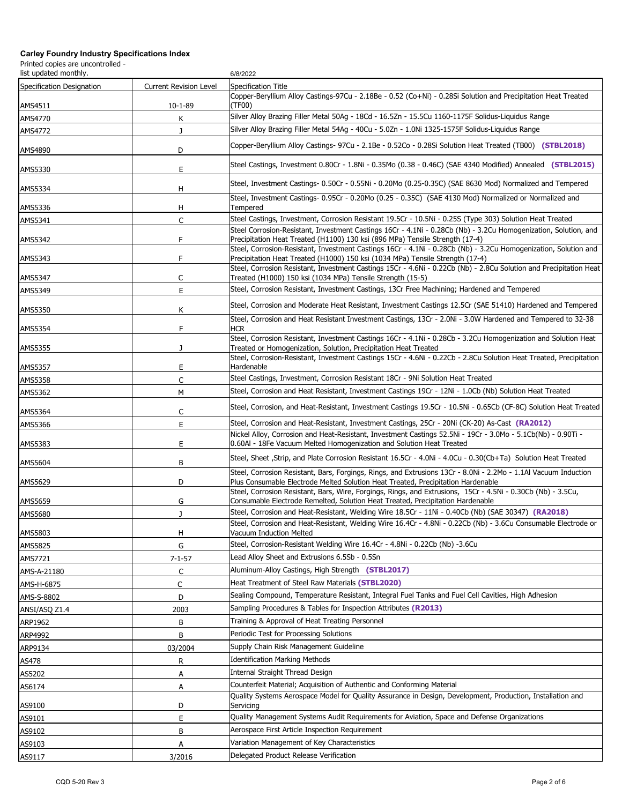| list updated monthly.     |                               | 6/8/2022                                                                                                                                                                                                             |
|---------------------------|-------------------------------|----------------------------------------------------------------------------------------------------------------------------------------------------------------------------------------------------------------------|
| Specification Designation | <b>Current Revision Level</b> | Specification Title                                                                                                                                                                                                  |
|                           |                               | Copper-Beryllium Alloy Castings-97Cu - 2.18Be - 0.52 (Co+Ni) - 0.28Si Solution and Precipitation Heat Treated                                                                                                        |
| AMS4511<br>AMS4770        | 10-1-89<br>Κ                  | (TF00)<br>Silver Alloy Brazing Filler Metal 50Ag - 18Cd - 16.5Zn - 15.5Cu 1160-1175F Solidus-Liquidus Range                                                                                                          |
| AMS4772                   | J                             | Silver Alloy Brazing Filler Metal 54Ag - 40Cu - 5.0Zn - 1.0Ni 1325-1575F Solidus-Liquidus Range                                                                                                                      |
|                           |                               |                                                                                                                                                                                                                      |
| AMS4890                   | D                             | Copper-Beryllium Alloy Castings- 97Cu - 2.1Be - 0.52Co - 0.28Si Solution Heat Treated (TB00) (STBL2018)                                                                                                              |
| AMS5330                   | E                             | Steel Castings, Investment 0.80Cr - 1.8Ni - 0.35Mo (0.38 - 0.46C) (SAE 4340 Modified) Annealed (STBL2015)                                                                                                            |
| AMS5334                   | Н                             | Steel, Investment Castings- 0.50Cr - 0.55Ni - 0.20Mo (0.25-0.35C) (SAE 8630 Mod) Normalized and Tempered                                                                                                             |
| AMS5336                   | н                             | Steel, Investment Castings- 0.95Cr - 0.20Mo (0.25 - 0.35C) (SAE 4130 Mod) Normalized or Normalized and<br>Tempered                                                                                                   |
| AMS5341                   | $\mathsf{C}$                  | Steel Castings, Investment, Corrosion Resistant 19.5Cr - 10.5Ni - 0.25S (Type 303) Solution Heat Treated                                                                                                             |
| AMS5342                   | F                             | Steel Corrosion-Resistant, Investment Castings 16Cr - 4.1Ni - 0.28Cb (Nb) - 3.2Cu Homogenization, Solution, and<br>Precipitation Heat Treated (H1100) 130 ksi (896 MPa) Tensile Strength (17-4)                      |
| AMS5343                   | F                             | Steel, Corrosion-Resistant, Investment Castings 16Cr - 4.1Ni - 0.28Cb (Nb) - 3.2Cu Homogenization, Solution and<br>Precipitation Heat Treated (H1000) 150 ksi (1034 MPa) Tensile Strength (17-4)                     |
|                           |                               | Steel, Corrosion Resistant, Investment Castings 15Cr - 4.6Ni - 0.22Cb (Nb) - 2.8Cu Solution and Precipitation Heat                                                                                                   |
| AMS5347                   | C                             | Treated (H1000) 150 ksi (1034 MPa) Tensile Strength (15-5)                                                                                                                                                           |
| AMS5349                   | E                             | Steel, Corrosion Resistant, Investment Castings, 13Cr Free Machining; Hardened and Tempered                                                                                                                          |
| AMS5350                   | К                             | Steel, Corrosion and Moderate Heat Resistant, Investment Castings 12.5Cr (SAE 51410) Hardened and Tempered                                                                                                           |
|                           |                               | Steel, Corrosion and Heat Resistant Investment Castings, 13Cr - 2.0Ni - 3.0W Hardened and Tempered to 32-38                                                                                                          |
| AMS5354                   | F                             | <b>HCR</b><br>Steel, Corrosion Resistant, Investment Castings 16Cr - 4.1Ni - 0.28Cb - 3.2Cu Homogenization and Solution Heat                                                                                         |
| AMS5355                   | J                             | Treated or Homogenization, Solution, Precipitation Heat Treated<br>Steel, Corrosion-Resistant, Investment Castings 15Cr - 4.6Ni - 0.22Cb - 2.8Cu Solution Heat Treated, Precipitation                                |
| AMS5357                   | E                             | Hardenable                                                                                                                                                                                                           |
| AMS5358                   | C                             | Steel Castings, Investment, Corrosion Resistant 18Cr - 9Ni Solution Heat Treated                                                                                                                                     |
| AMS5362                   | М                             | Steel, Corrosion and Heat Resistant, Investment Castings 19Cr - 12Ni - 1.0Cb (Nb) Solution Heat Treated                                                                                                              |
|                           |                               | Steel, Corrosion, and Heat-Resistant, Investment Castings 19.5Cr - 10.5Ni - 0.65Cb (CF-8C) Solution Heat Treated                                                                                                     |
| AMS5364                   | C                             |                                                                                                                                                                                                                      |
| AMS5366                   | E                             | Steel, Corrosion and Heat-Resistant, Investment Castings, 25Cr - 20Ni (CK-20) As-Cast (RA2012)<br>Nickel Alloy, Corrosion and Heat-Resistant, Investment Castings 52.5Ni - 19Cr - 3.0Mo - 5.1Cb(Nb) - 0.90Ti -       |
| AMS5383                   | Ε                             | 0.60Al - 18Fe Vacuum Melted Homogenization and Solution Heat Treated                                                                                                                                                 |
| AMS5604                   | B                             | Steel, Sheet, Strip, and Plate Corrosion Resistant 16.5Cr - 4.0Ni - 4.0Cu - 0.30(Cb+Ta) Solution Heat Treated                                                                                                        |
| AMS5629                   | D                             | Steel, Corrosion Resistant, Bars, Forgings, Rings, and Extrusions 13Cr - 8.0Ni - 2.2Mo - 1.1Al Vacuum Induction<br>Plus Consumable Electrode Melted Solution Heat Treated, Precipitation Hardenable                  |
|                           |                               | Steel, Corrosion Resistant, Bars, Wire, Forgings, Rings, and Extrusions, 15Cr - 4.5Ni - 0.30Cb (Nb) - 3.5Cu,                                                                                                         |
| AMS5659                   | G                             | Consumable Electrode Remelted, Solution Heat Treated, Precipitation Hardenable                                                                                                                                       |
| AMS5680                   | J                             | Steel, Corrosion and Heat-Resistant, Welding Wire 18.5Cr - 11Ni - 0.40Cb (Nb) (SAE 30347) (RA2018)<br>Steel, Corrosion and Heat-Resistant, Welding Wire 16.4Cr - 4.8Ni - 0.22Cb (Nb) - 3.6Cu Consumable Electrode or |
| AMS5803                   | н                             | Vacuum Induction Melted                                                                                                                                                                                              |
| AMS5825                   | G                             | Steel, Corrosion-Resistant Welding Wire 16.4Cr - 4.8Ni - 0.22Cb (Nb) -3.6Cu                                                                                                                                          |
| AMS7721                   | $7 - 1 - 57$                  | Lead Alloy Sheet and Extrusions 6.5Sb - 0.5Sn                                                                                                                                                                        |
| AMS-A-21180               | C                             | Aluminum-Alloy Castings, High Strength (STBL2017)                                                                                                                                                                    |
| AMS-H-6875                | C                             | Heat Treatment of Steel Raw Materials (STBL2020)                                                                                                                                                                     |
| AMS-S-8802                | D                             | Sealing Compound, Temperature Resistant, Integral Fuel Tanks and Fuel Cell Cavities, High Adhesion                                                                                                                   |
| ANSI/ASQ Z1.4             | 2003                          | Sampling Procedures & Tables for Inspection Attributes (R2013)                                                                                                                                                       |
| ARP1962                   | В                             | Training & Approval of Heat Treating Personnel                                                                                                                                                                       |
| ARP4992                   | B                             | Periodic Test for Processing Solutions                                                                                                                                                                               |
| ARP9134                   | 03/2004                       | Supply Chain Risk Management Guideline                                                                                                                                                                               |
| AS478                     | R                             | <b>Identification Marking Methods</b>                                                                                                                                                                                |
| AS5202                    | Α                             | Internal Straight Thread Design                                                                                                                                                                                      |
| AS6174                    | А                             | Counterfeit Material; Acquisition of Authentic and Conforming Material                                                                                                                                               |
| AS9100                    | D                             | Quality Systems Aerospace Model for Quality Assurance in Design, Development, Production, Installation and<br>Servicing                                                                                              |
| AS9101                    | Ε                             | Quality Management Systems Audit Requirements for Aviation, Space and Defense Organizations                                                                                                                          |
| AS9102                    | B                             | Aerospace First Article Inspection Requirement                                                                                                                                                                       |
| AS9103                    | А                             | Variation Management of Key Characteristics                                                                                                                                                                          |
| AS9117                    | 3/2016                        | Delegated Product Release Verification                                                                                                                                                                               |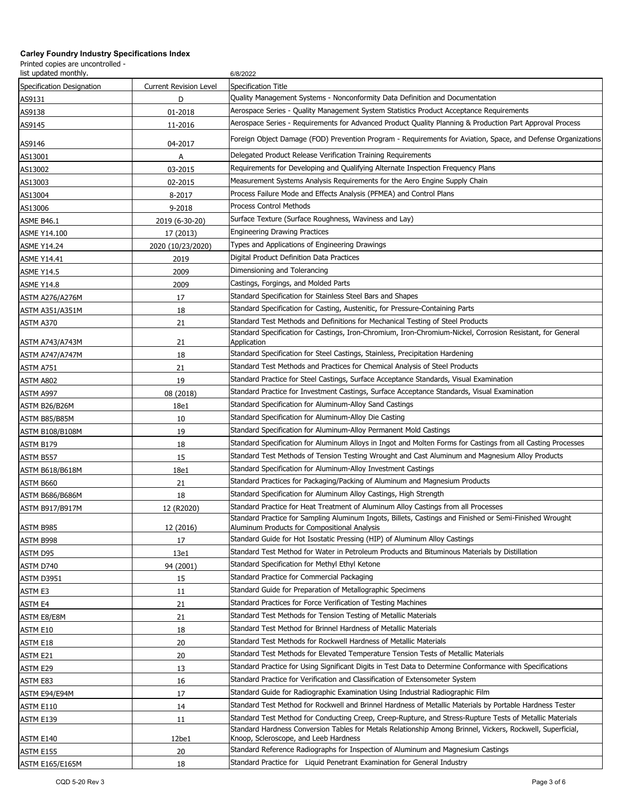| list updated monthly.     |                               | 6/8/2022                                                                                                                                                |
|---------------------------|-------------------------------|---------------------------------------------------------------------------------------------------------------------------------------------------------|
| Specification Designation | <b>Current Revision Level</b> | Specification Title                                                                                                                                     |
| AS9131                    | D                             | Quality Management Systems - Nonconformity Data Definition and Documentation                                                                            |
| AS9138                    | 01-2018                       | Aerospace Series - Quality Management System Statistics Product Acceptance Requirements                                                                 |
| AS9145                    | 11-2016                       | Aerospace Series - Requirements for Advanced Product Quality Planning & Production Part Approval Process                                                |
| AS9146                    | 04-2017                       | Foreign Object Damage (FOD) Prevention Program - Requirements for Aviation, Space, and Defense Organizations                                            |
| AS13001                   | A                             | Delegated Product Release Verification Training Requirements                                                                                            |
| AS13002                   | 03-2015                       | Requirements for Developing and Qualifying Alternate Inspection Frequency Plans                                                                         |
| AS13003                   | 02-2015                       | Measurement Systems Analysis Requirements for the Aero Engine Supply Chain                                                                              |
| AS13004                   | 8-2017                        | Process Failure Mode and Effects Analysis (PFMEA) and Control Plans                                                                                     |
| AS13006                   | 9-2018                        | Process Control Methods                                                                                                                                 |
| ASME B46.1                | 2019 (6-30-20)                | Surface Texture (Surface Roughness, Waviness and Lay)                                                                                                   |
| <b>ASME Y14.100</b>       | 17 (2013)                     | <b>Engineering Drawing Practices</b>                                                                                                                    |
| <b>ASME Y14.24</b>        | 2020 (10/23/2020)             | Types and Applications of Engineering Drawings                                                                                                          |
| <b>ASME Y14.41</b>        | 2019                          | Digital Product Definition Data Practices                                                                                                               |
| <b>ASME Y14.5</b>         | 2009                          | Dimensioning and Tolerancing                                                                                                                            |
| <b>ASME Y14.8</b>         | 2009                          | Castings, Forgings, and Molded Parts                                                                                                                    |
| <b>ASTM A276/A276M</b>    | 17                            | Standard Specification for Stainless Steel Bars and Shapes                                                                                              |
| <b>ASTM A351/A351M</b>    | 18                            | Standard Specification for Casting, Austenitic, for Pressure-Containing Parts                                                                           |
| ASTM A370                 | 21                            | Standard Test Methods and Definitions for Mechanical Testing of Steel Products                                                                          |
| ASTM A743/A743M           | 21                            | Standard Specification for Castings, Iron-Chromium, Iron-Chromium-Nickel, Corrosion Resistant, for General<br>Application                               |
| <b>ASTM A747/A747M</b>    | 18                            | Standard Specification for Steel Castings, Stainless, Precipitation Hardening                                                                           |
| ASTM A751                 | 21                            | Standard Test Methods and Practices for Chemical Analysis of Steel Products                                                                             |
| ASTM A802                 | 19                            | Standard Practice for Steel Castings, Surface Acceptance Standards, Visual Examination                                                                  |
| ASTM A997                 | 08 (2018)                     | Standard Practice for Investment Castings, Surface Acceptance Standards, Visual Examination                                                             |
| ASTM B26/B26M             | 18e1                          | Standard Specification for Aluminum-Alloy Sand Castings                                                                                                 |
| ASTM B85/B85M             | 10                            | Standard Specification for Aluminum-Alloy Die Casting                                                                                                   |
| <b>ASTM B108/B108M</b>    | 19                            | Standard Specification for Aluminum-Alloy Permanent Mold Castings                                                                                       |
| ASTM B179                 | 18                            | Standard Specification for Aluminum Alloys in Ingot and Molten Forms for Castings from all Casting Processes                                            |
| ASTM B557                 | 15                            | Standard Test Methods of Tension Testing Wrought and Cast Aluminum and Magnesium Alloy Products                                                         |
| <b>ASTM B618/B618M</b>    | 18e1                          | Standard Specification for Aluminum-Alloy Investment Castings                                                                                           |
| ASTM B660                 | 21                            | Standard Practices for Packaging/Packing of Aluminum and Magnesium Products                                                                             |
| <b>ASTM B686/B686M</b>    | 18                            | Standard Specification for Aluminum Alloy Castings, High Strength                                                                                       |
| <b>ASTM B917/B917M</b>    | 12 (R2020)                    | Standard Practice for Heat Treatment of Aluminum Alloy Castings from all Processes                                                                      |
| ASTM B985                 | 12 (2016)                     | Standard Practice for Sampling Aluminum Ingots, Billets, Castings and Finished or Semi-Finished Wrought<br>Aluminum Products for Compositional Analysis |
| ASTM B998                 | 17                            | Standard Guide for Hot Isostatic Pressing (HIP) of Aluminum Alloy Castings                                                                              |
| ASTM D95                  | 13e1                          | Standard Test Method for Water in Petroleum Products and Bituminous Materials by Distillation                                                           |
| ASTM D740                 | 94 (2001)                     | Standard Specification for Methyl Ethyl Ketone                                                                                                          |
| ASTM D3951                | 15                            | Standard Practice for Commercial Packaging                                                                                                              |
| ASTM E3                   | 11                            | Standard Guide for Preparation of Metallographic Specimens                                                                                              |
| ASTM E4                   | 21                            | Standard Practices for Force Verification of Testing Machines                                                                                           |
| ASTM E8/E8M               | 21                            | Standard Test Methods for Tension Testing of Metallic Materials                                                                                         |
| ASTM E10                  | 18                            | Standard Test Method for Brinnel Hardness of Metallic Materials                                                                                         |
| ASTM E18                  | 20                            | Standard Test Methods for Rockwell Hardness of Metallic Materials                                                                                       |
| ASTM E21                  | 20                            | Standard Test Methods for Elevated Temperature Tension Tests of Metallic Materials                                                                      |
| ASTM E29                  | 13                            | Standard Practice for Using Significant Digits in Test Data to Determine Conformance with Specifications                                                |
| ASTM E83                  | 16                            | Standard Practice for Verification and Classification of Extensometer System                                                                            |
| ASTM E94/E94M             | 17                            | Standard Guide for Radiographic Examination Using Industrial Radiographic Film                                                                          |
| ASTM E110                 | 14                            | Standard Test Method for Rockwell and Brinnel Hardness of Metallic Materials by Portable Hardness Tester                                                |
| ASTM E139                 | 11                            | Standard Test Method for Conducting Creep, Creep-Rupture, and Stress-Rupture Tests of Metallic Materials                                                |
| ASTM E140                 | 12be1                         | Standard Hardness Conversion Tables for Metals Relationship Among Brinnel, Vickers, Rockwell, Superficial,<br>Knoop, Scleroscope, and Leeb Hardness     |
| ASTM E155                 | 20                            | Standard Reference Radiographs for Inspection of Aluminum and Magnesium Castings                                                                        |
| <b>ASTM E165/E165M</b>    | 18                            | Standard Practice for Liquid Penetrant Examination for General Industry                                                                                 |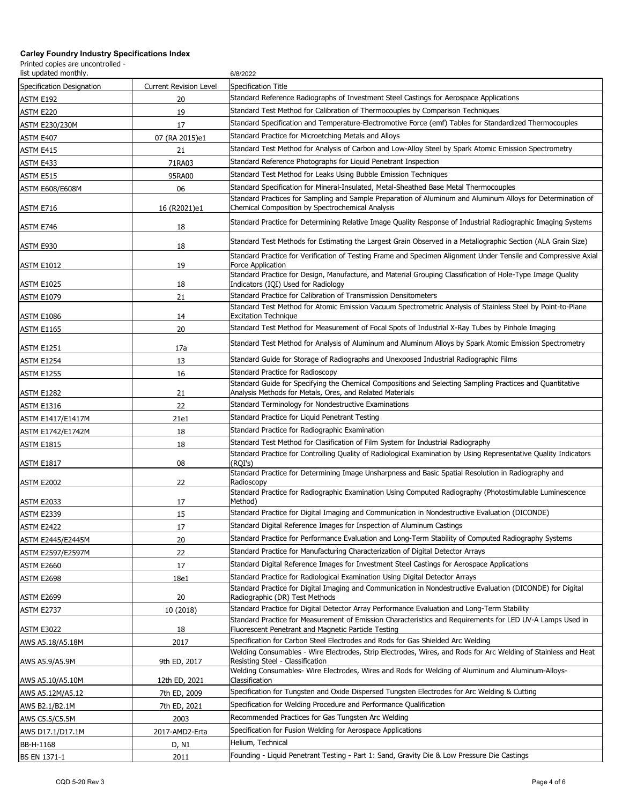| list updated monthly.     |                               | 6/8/2022                                                                                                                                                                                                 |
|---------------------------|-------------------------------|----------------------------------------------------------------------------------------------------------------------------------------------------------------------------------------------------------|
| Specification Designation | <b>Current Revision Level</b> | Specification Title                                                                                                                                                                                      |
| ASTM E192                 | 20                            | Standard Reference Radiographs of Investment Steel Castings for Aerospace Applications                                                                                                                   |
| ASTM E220                 | 19                            | Standard Test Method for Calibration of Thermocouples by Comparison Techniques                                                                                                                           |
| <b>ASTM E230/230M</b>     | 17                            | Standard Specification and Temperature-Electromotive Force (emf) Tables for Standardized Thermocouples                                                                                                   |
| ASTM E407                 | 07 (RA 2015)e1                | Standard Practice for Microetching Metals and Alloys                                                                                                                                                     |
| ASTM E415                 | 21                            | Standard Test Method for Analysis of Carbon and Low-Alloy Steel by Spark Atomic Emission Spectrometry                                                                                                    |
| ASTM E433                 | 71RA03                        | Standard Reference Photographs for Liquid Penetrant Inspection                                                                                                                                           |
| ASTM E515                 | 95RA00                        | Standard Test Method for Leaks Using Bubble Emission Techniques                                                                                                                                          |
| ASTM E608/E608M           | 06                            | Standard Specification for Mineral-Insulated, Metal-Sheathed Base Metal Thermocouples                                                                                                                    |
| ASTM E716                 | 16 (R2021)e1                  | Standard Practices for Sampling and Sample Preparation of Aluminum and Aluminum Alloys for Determination of<br>Chemical Composition by Spectrochemical Analysis                                          |
| ASTM E746                 | 18                            | Standard Practice for Determining Relative Image Quality Response of Industrial Radiographic Imaging Systems                                                                                             |
| ASTM E930                 | 18                            | Standard Test Methods for Estimating the Largest Grain Observed in a Metallographic Section (ALA Grain Size)                                                                                             |
| <b>ASTM E1012</b>         | 19                            | Standard Practice for Verification of Testing Frame and Specimen Alignment Under Tensile and Compressive Axial<br>Force Application                                                                      |
| <b>ASTM E1025</b>         | 18                            | Standard Practice for Design, Manufacture, and Material Grouping Classification of Hole-Type Image Quality<br>Indicators (IQI) Used for Radiology                                                        |
| <b>ASTM E1079</b>         | 21                            | Standard Practice for Calibration of Transmission Densitometers                                                                                                                                          |
| <b>ASTM E1086</b>         | 14                            | Standard Test Method for Atomic Emission Vacuum Spectrometric Analysis of Stainless Steel by Point-to-Plane<br><b>Excitation Technique</b>                                                               |
| <b>ASTM E1165</b>         | 20                            | Standard Test Method for Measurement of Focal Spots of Industrial X-Ray Tubes by Pinhole Imaging                                                                                                         |
| <b>ASTM E1251</b>         | 17a                           | Standard Test Method for Analysis of Aluminum and Aluminum Alloys by Spark Atomic Emission Spectrometry                                                                                                  |
| <b>ASTM E1254</b>         | 13                            | Standard Guide for Storage of Radiographs and Unexposed Industrial Radiographic Films                                                                                                                    |
| <b>ASTM E1255</b>         | 16                            | Standard Practice for Radioscopy                                                                                                                                                                         |
|                           |                               | Standard Guide for Specifying the Chemical Compositions and Selecting Sampling Practices and Quantitative                                                                                                |
| ASTM E1282                | 21<br>22                      | Analysis Methods for Metals, Ores, and Related Materials<br>Standard Terminology for Nondestructive Examinations                                                                                         |
| <b>ASTM E1316</b>         |                               | Standard Practice for Liquid Penetrant Testing                                                                                                                                                           |
| ASTM E1417/E1417M         | 21e1<br>18                    | Standard Practice for Radiographic Examination                                                                                                                                                           |
| ASTM E1742/E1742M         | 18                            | Standard Test Method for Clasification of Film System for Industrial Radiography                                                                                                                         |
| <b>ASTM E1815</b>         |                               | Standard Practice for Controlling Quality of Radiological Examination by Using Representative Quality Indicators                                                                                         |
| <b>ASTM E1817</b>         | 08                            | (RQI's)<br>Standard Practice for Determining Image Unsharpness and Basic Spatial Resolution in Radiography and                                                                                           |
| ASTM E2002                | 22                            | Radioscopy                                                                                                                                                                                               |
| ASTM E2033                | 17                            | Standard Practice for Radiographic Examination Using Computed Radiography (Photostimulable Luminescence<br>Method)                                                                                       |
| <b>ASTM E2339</b>         | 15                            | Standard Practice for Digital Imaging and Communication in Nondestructive Evaluation (DICONDE)                                                                                                           |
| ASTM E2422                | 17                            | Standard Digital Reference Images for Inspection of Aluminum Castings                                                                                                                                    |
| ASTM E2445/E2445M         | 20                            | Standard Practice for Performance Evaluation and Long-Term Stability of Computed Radiography Systems                                                                                                     |
| ASTM E2597/E2597M         | 22                            | Standard Practice for Manufacturing Characterization of Digital Detector Arrays                                                                                                                          |
| ASTM E2660                | 17                            | Standard Digital Reference Images for Investment Steel Castings for Aerospace Applications                                                                                                               |
| ASTM E2698                | 18e1                          | Standard Practice for Radiological Examination Using Digital Detector Arrays                                                                                                                             |
|                           |                               | Standard Practice for Digital Imaging and Communication in Nondestructive Evaluation (DICONDE) for Digital                                                                                               |
| ASTM E2699                | 20                            | Radiographic (DR) Test Methods                                                                                                                                                                           |
| <b>ASTM E2737</b>         | 10 (2018)                     | Standard Practice for Digital Detector Array Performance Evaluation and Long-Term Stability<br>Standard Practice for Measurement of Emission Characteristics and Requirements for LED UV-A Lamps Used in |
| <b>ASTM E3022</b>         | 18                            | Fluorescent Penetrant and Magnetic Particle Testing                                                                                                                                                      |
| AWS A5.18/A5.18M          | 2017                          | Specification for Carbon Steel Electrodes and Rods for Gas Shielded Arc Welding                                                                                                                          |
| AWS A5.9/A5.9M            | 9th ED, 2017                  | Welding Consumables - Wire Electrodes, Strip Electrodes, Wires, and Rods for Arc Welding of Stainless and Heat<br>Resisting Steel - Classification                                                       |
| AWS A5.10/A5.10M          | 12th ED, 2021                 | Welding Consumables- Wire Electrodes, Wires and Rods for Welding of Aluminum and Aluminum-Alloys-<br>Classification                                                                                      |
| AWS A5.12M/A5.12          | 7th ED, 2009                  | Specification for Tungsten and Oxide Dispersed Tungsten Electrodes for Arc Welding & Cutting                                                                                                             |
| AWS B2.1/B2.1M            | 7th ED, 2021                  | Specification for Welding Procedure and Performance Qualification                                                                                                                                        |
| AWS C5.5/C5.5M            | 2003                          | Recommended Practices for Gas Tungsten Arc Welding                                                                                                                                                       |
| AWS D17.1/D17.1M          | 2017-AMD2-Erta                | Specification for Fusion Welding for Aerospace Applications                                                                                                                                              |
| BB-H-1168                 | D, N1                         | Helium, Technical                                                                                                                                                                                        |
| <b>BS EN 1371-1</b>       | 2011                          | Founding - Liquid Penetrant Testing - Part 1: Sand, Gravity Die & Low Pressure Die Castings                                                                                                              |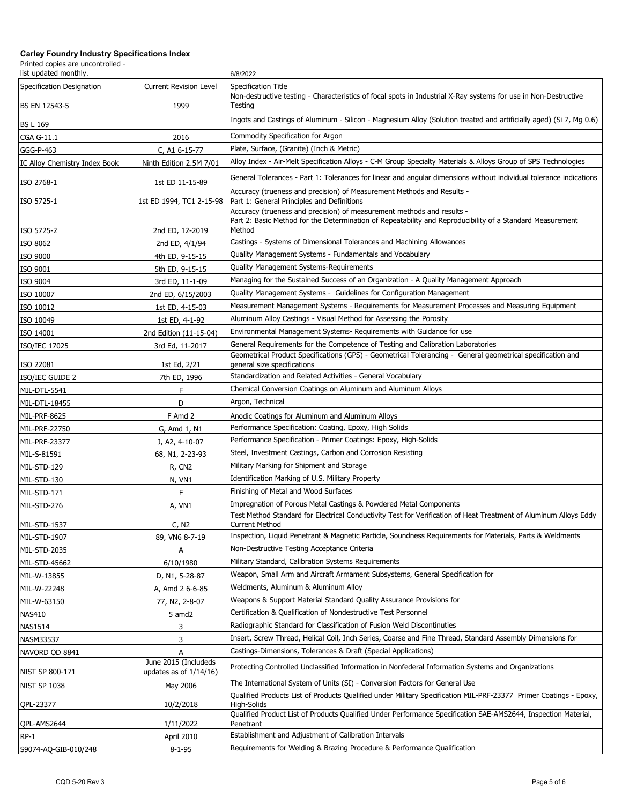| list updated monthly.         |                                                   | 6/8/2022                                                                                                                                                                                      |
|-------------------------------|---------------------------------------------------|-----------------------------------------------------------------------------------------------------------------------------------------------------------------------------------------------|
| Specification Designation     | <b>Current Revision Level</b>                     | Specification Title                                                                                                                                                                           |
| BS EN 12543-5                 | 1999                                              | Non-destructive testing - Characteristics of focal spots in Industrial X-Ray systems for use in Non-Destructive<br>Testing                                                                    |
| <b>BS L 169</b>               |                                                   | Ingots and Castings of Aluminum - Silicon - Magnesium Alloy (Solution treated and artificially aged) (Si 7, Mg 0.6)                                                                           |
| CGA G-11.1                    | 2016                                              | Commodity Specification for Argon                                                                                                                                                             |
| GGG-P-463                     | C, A1 6-15-77                                     | Plate, Surface, (Granite) (Inch & Metric)                                                                                                                                                     |
| IC Alloy Chemistry Index Book | Ninth Edition 2.5M 7/01                           | Alloy Index - Air-Melt Specification Alloys - C-M Group Specialty Materials & Alloys Group of SPS Technologies                                                                                |
| ISO 2768-1                    | 1st ED 11-15-89                                   | General Tolerances - Part 1: Tolerances for linear and angular dimensions without individual tolerance indications                                                                            |
| ISO 5725-1                    | 1st ED 1994, TC1 2-15-98                          | Accuracy (trueness and precision) of Measurement Methods and Results -<br>Part 1: General Principles and Definitions                                                                          |
| ISO 5725-2                    | 2nd ED, 12-2019                                   | Accuracy (trueness and precision) of measurement methods and results -<br>Part 2: Basic Method for the Determination of Repeatability and Reproducibility of a Standard Measurement<br>Method |
| ISO 8062                      | 2nd ED, 4/1/94                                    | Castings - Systems of Dimensional Tolerances and Machining Allowances                                                                                                                         |
| ISO 9000                      | 4th ED, 9-15-15                                   | Quality Management Systems - Fundamentals and Vocabulary                                                                                                                                      |
| ISO 9001                      | 5th ED, 9-15-15                                   | Quality Management Systems-Requirements                                                                                                                                                       |
| ISO 9004                      | 3rd ED, 11-1-09                                   | Managing for the Sustained Success of an Organization - A Quality Management Approach                                                                                                         |
| ISO 10007                     | 2nd ED, 6/15/2003                                 | Quality Management Systems - Guidelines for Configuration Management                                                                                                                          |
| ISO 10012                     | 1st ED, 4-15-03                                   | Measurement Management Systems - Requirements for Measurement Processes and Measuring Equipment                                                                                               |
| ISO 10049                     | 1st ED, 4-1-92                                    | Aluminum Alloy Castings - Visual Method for Assessing the Porosity                                                                                                                            |
| ISO 14001                     | 2nd Edition (11-15-04)                            | Environmental Management Systems- Requirements with Guidance for use                                                                                                                          |
| ISO/IEC 17025                 | 3rd Ed, 11-2017                                   | General Requirements for the Competence of Testing and Calibration Laboratories                                                                                                               |
|                               |                                                   | Geometrical Product Specifications (GPS) - Geometrical Tolerancing - General geometrical specification and                                                                                    |
| ISO 22081                     | 1st Ed, 2/21                                      | general size specifications                                                                                                                                                                   |
| ISO/IEC GUIDE 2               | 7th ED, 1996                                      | Standardization and Related Activities - General Vocabulary                                                                                                                                   |
| MIL-DTL-5541                  | F                                                 | Chemical Conversion Coatings on Aluminum and Aluminum Alloys                                                                                                                                  |
| MIL-DTL-18455                 | D                                                 | Argon, Technical                                                                                                                                                                              |
| MIL-PRF-8625                  | F Amd 2                                           | Anodic Coatings for Aluminum and Aluminum Alloys                                                                                                                                              |
| MIL-PRF-22750                 | G, Amd 1, N1                                      | Performance Specification: Coating, Epoxy, High Solids                                                                                                                                        |
| MIL-PRF-23377                 | J, A2, 4-10-07                                    | Performance Specification - Primer Coatings: Epoxy, High-Solids                                                                                                                               |
| MIL-S-81591                   | 68, N1, 2-23-93                                   | Steel, Investment Castings, Carbon and Corrosion Resisting                                                                                                                                    |
| MIL-STD-129                   | R, CN <sub>2</sub>                                | Military Marking for Shipment and Storage                                                                                                                                                     |
| MIL-STD-130                   | N, VN1                                            | Identification Marking of U.S. Military Property                                                                                                                                              |
| MIL-STD-171                   | F                                                 | Finishing of Metal and Wood Surfaces                                                                                                                                                          |
| MIL-STD-276                   | A, VN1                                            | Impregnation of Porous Metal Castings & Powdered Metal Components                                                                                                                             |
| MIL-STD-1537                  | C, N2                                             | Test Method Standard for Electrical Conductivity Test for Verification of Heat Treatment of Aluminum Alloys Eddy<br><b>Current Method</b>                                                     |
| MIL-STD-1907                  | 89, VN6 8-7-19                                    | Inspection, Liquid Penetrant & Magnetic Particle, Soundness Requirements for Materials, Parts & Weldments                                                                                     |
| MIL-STD-2035                  | А                                                 | Non-Destructive Testing Acceptance Criteria                                                                                                                                                   |
| MIL-STD-45662                 | 6/10/1980                                         | Military Standard, Calibration Systems Requirements                                                                                                                                           |
| MIL-W-13855                   | D, N1, 5-28-87                                    | Weapon, Small Arm and Aircraft Armament Subsystems, General Specification for                                                                                                                 |
| MIL-W-22248                   | A, Amd 2 6-6-85                                   | Weldments, Aluminum & Aluminum Alloy                                                                                                                                                          |
| MIL-W-63150                   | 77, N2, 2-8-07                                    | Weapons & Support Material Standard Quality Assurance Provisions for                                                                                                                          |
| <b>NAS410</b>                 | 5 amd2                                            | Certification & Qualification of Nondestructive Test Personnel                                                                                                                                |
| <b>NAS1514</b>                | 3                                                 | Radiographic Standard for Classification of Fusion Weld Discontinuties                                                                                                                        |
| NASM33537                     | 3                                                 | Insert, Screw Thread, Helical Coil, Inch Series, Coarse and Fine Thread, Standard Assembly Dimensions for                                                                                     |
| NAVORD OD 8841                | A                                                 | Castings-Dimensions, Tolerances & Draft (Special Applications)                                                                                                                                |
| NIST SP 800-171               | June 2015 (Includeds<br>updates as of $1/14/16$ ) | Protecting Controlled Unclassified Information in Nonfederal Information Systems and Organizations                                                                                            |
| <b>NIST SP 1038</b>           | May 2006                                          | The International System of Units (SI) - Conversion Factors for General Use                                                                                                                   |
|                               |                                                   | Qualified Products List of Products Qualified under Military Specification MIL-PRF-23377 Primer Coatings - Epoxy,                                                                             |
| QPL-23377                     | 10/2/2018                                         | High-Solids<br>Qualified Product List of Products Qualified Under Performance Specification SAE-AMS2644, Inspection Material,                                                                 |
| QPL-AMS2644                   | 1/11/2022                                         | Penetrant                                                                                                                                                                                     |
| $RP-1$                        | April 2010                                        | Establishment and Adjustment of Calibration Intervals                                                                                                                                         |
| S9074-AQ-GIB-010/248          | $8 - 1 - 95$                                      | Requirements for Welding & Brazing Procedure & Performance Qualification                                                                                                                      |